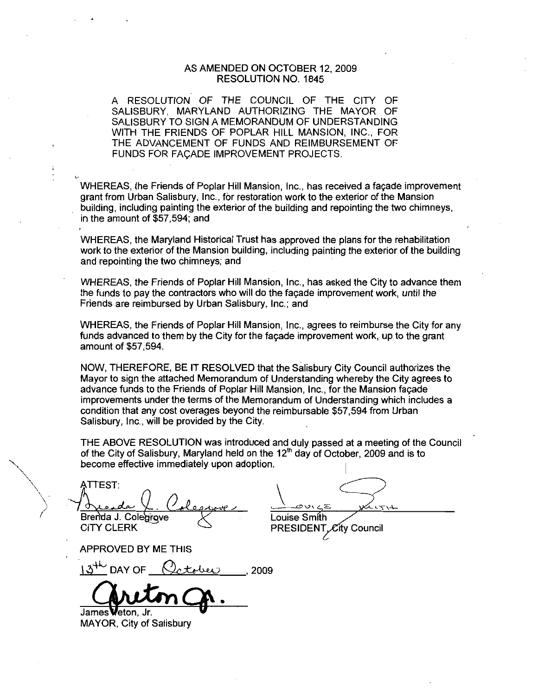#### AS AMENDED ON OCTOBER 12 2009 RESOLUTION NO. 1845

A RESOLUTION OF THE COUNCIL OF THE CITY OF SALISBURY MARYLAND AUTHORIZING THE MAYOR OF SALISBURY TO SIGN A MEMORANDUM OF UNDERSTANDING WITH THE FRIENDS OF POPLAR HILL MANSION, INC., FOR THE ADVANCEMENT OF FUNDS AND REIMBURSEMENT OF FUNDS FOR FACADE IMPROVEMENT PROJECTS

WHEREAS, the Friends of Poplar Hill Mansion, Inc., has received a facade improvement grant from Urban Salisbury, Inc., for restoration work to the exterior of the Mansion grant from Orban Salisbury, Inc., for restoration work to the exterior of the Marislon<br>building, including painting the exterior of the building and repointing the two chimneys,<br>in the amount of \$57,594; and

WHEREAS the Maryland Historical Trust has approved the plans for the rehabilitation work to the exterior of the Mansion building including painting the exterior of the building and repointing the two chimneys; and

WHEREAS, the Friends of Poplar Hill Mansion, Inc., has asked the City to advance them the funds to pay the contractors who will do the facade improvement work until the Friends are reimbursed by Urban Salisbury, Inc.; and

WHEREAS, the Friends of Poplar Hill Mansion, Inc., agrees to reimburse the City for any Funds advanced to them by the City for the façade improvement work, up to the grant amount of \$57,594.

NOW, THEREFORE, BE IT RESOLVED that the Salisbury City Council authorizes the Mayor to sign the attached Memorandum of Understanding whereby the City agrees to advance funds to the Friends of Poplar Hill Mansion, Inc., for the Mansion facade improvements under the terms of the Memorandum of Understanding which includes a condition that any cost overages beyond the reimbursable \$57,594 from Urban Salisbury, Inc., will be provided by the City.

THE ABOVE RESOLUTION was introduced and duly passed at ameeting of the Council of the City of Salisbury. Maryland held on the  $12<sup>th</sup>$  day of October, 2009 and is to become effective immediately upon adoption

ATTEST Brenda J. Colegrove CITY CLERK ements under the terms of the Memorial<br>on that any cost overages beyond the<br>ury, inc., will be provided by the City.<br>BOVE RESOLUTION was introduced<br>City of Salisbury, Maryland held on the<br>e effective immediately upon adopt

 $rac{1}{\sqrt{1+\frac{1}{1-\frac{1}{1-\frac{1}{1-\frac{1}{1-\frac{1}{1-\frac{1}{1-\frac{1}{1-\frac{1}{1-\frac{1}{1-\frac{1}{1-\frac{1}{1-\frac{1}{1-\frac{1}{1-\frac{1}{1-\frac{1}{1-\frac{1}{1-\frac{1}{1-\frac{1}{1-\frac{1}{1-\frac{1}{1-\frac{1}{1-\frac{1}{1-\frac{1}{1-\frac{1}{1-\frac{1}{1-\frac{1}{1-\frac{1}{1-\frac{1}{1-\frac{1}{1-\frac{1}{1-\frac{1}{1-\frac{1}{1-\frac{1}{1-\frac{1}{1-\frac{1}{1-\frac$ Louise Smith PRESIDENT *C*ity Council

APPROVED BY ME THIS

James Weton, Jr.

MAYOR, City of Salisbury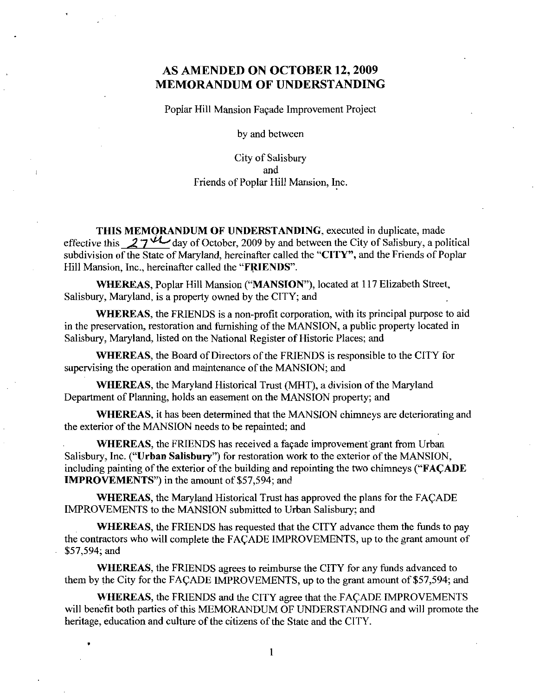### AS AMENDED ON OCTOBER 12, 2009 MEMORANDUM OF UNDERSTANDING

Poplaz Hill Mansion Fagade Improvement Project

by and between

City of Salisbury and Friends of Poplar Hill Mansion, Inc.

THIS MEMORANDUM OF UNDERSTANDING, executed in duplicate, made effective this  $27^{4}$  day of October, 2009 by and between the City of Salisbury, a political subdivision of the State of Maryland, hereinafter called the "CITY", and the Friends of Poplar Hill Mansion, Inc., hereinafter called the "FRIENDS".

WHEREAS, Poplar Hill Mansion ("MANSION"), located at 117 Elizabeth Street, Salisbury, Maryland, is a property owned by the CITY; and

WHEREAS, the FRIENDS is a non-profit corporation, with its principal purpose to aid in the preservation, restoration and furnishing of the MANSION, a public property located in Salisbury, Maryland, listed on the National Register of Historic Places; and

WHEREAS, the Board of Directors of the FRIENDS is responsible to the CITY for supervising the operation and maintenance of the MANSION; and

WHEREAS, the Maryland Historical Trust (MHT), a division of the Maryland Department of Planning, holds an easement on the MANSION property; and

WHEREAS it has been determined that the MANSION chimneys are deteriorating and the exterior of the MANSION needs to be repainted; and

WHEREAS, the FRIENDS has received a façade improvement grant from Urban Salisbury, Inc. ("Urban Salisbury") for restoration work to the exterior of the MANSION, including painting of the exterior of the building and repointing the two chimneys ("FACADE" **IMPROVEMENTS"**) in the amount of \$57,594; and

WHEREAS, the Maryland Historical Trust has approved the plans for the FACADE IMPROVEMENTS to the MANSION submitted to Urban Salisbury; and

WHEREAS, the FRIENDS has requested that the CITY advance them the funds to pay the contractors who will complete the FACADE IMPROVEMENTS, up to the grant amount of \$57,594; and

WHEREAS, the FRIENDS agrees to reimburse the CITY for any funds advanced to them by the City for the FACADE IMPROVEMENTS, up to the grant amount of \$57,594; and

WHEREAS, the FRIENDS and the CITY agree that the FACADE IMPROVEMENTS will benefit both parties of this MEMORANDUM OF UNDERSTANDING and will promote the heritage, education and culture of the citizens of the State and the CITY.

 $\mathbf{1}$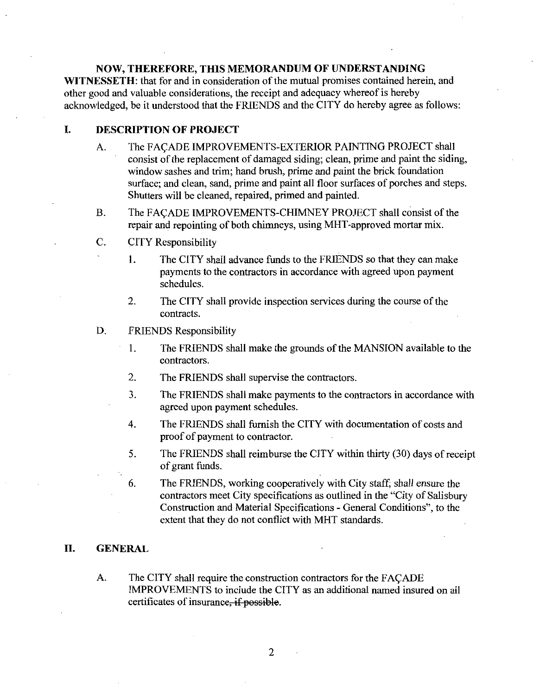#### NOW, THEREFORE, THIS MEMORANDUM OF UNDERSTANDING

WITNESSETH: that for and in consideration of the mutual promises contained herein, and other good and valuable considerations, the receipt and adequacy whereof is hereby acknowledged, be it understood that the FRIENDS and the CITY do hereby agree as follows:

#### I. DESCRIPTION OF PROJECT

- A. The FACADE IMPROVEMENTS-EXTERIOR PAINTING PROJECT shall consist of the replacement of damaged siding; clean, prime and paint the siding. window sashes and trim; hand brush, prime and paint the brick foundation surface; and clean, sand, prime and paint all floor surfaces of porches and steps. Shutters will be cleaned, repaired, primed and painted.
- B. The FACADE IMPROVEMENTS-CHIMNEY PROJECT shall consist of the repair and repointing of both chimneys, using MHT-approved mortar mix.
- C. CITY Responsibility
	- 1. The CITY shall advance funds to the FRIENDS so that they can make payments to the contractors in accordance with agreed upon payment schedules
	- 2. The CITY shall provide inspection services during the course of the contracts
- D. FRIENDS Responsibility
	- 1. The FRIENDS shall make the grounds of the MANSION available to the contractors
	- 2. The FRIENDS shall supervise the contractors.
	- 3 The FRIENDS shall make payments to the contractors in accordance with agreed upon payment schedules
	- 4 The FRIENDS shall furnish the CITY with documentation of costs and proof of payment to contractor
	- 5. The FRIENDS shall reimburse the CITY within thirty (30) days of receipt of grant funds.
	- 6. The FRIENDS, working cooperatively with City staff, shall ensure the contractors meet City specifications as outlined in the "City of Salisbury" Construction and Material Specifications - General Conditions", to the extent that they do not conflict with MHT standards

#### II. GENERAL

A. The CITY shall require the construction contractors for the FACADE IMPROVEMENTS to include the CITY as an additional named insured on all certificates of insurance, if possible.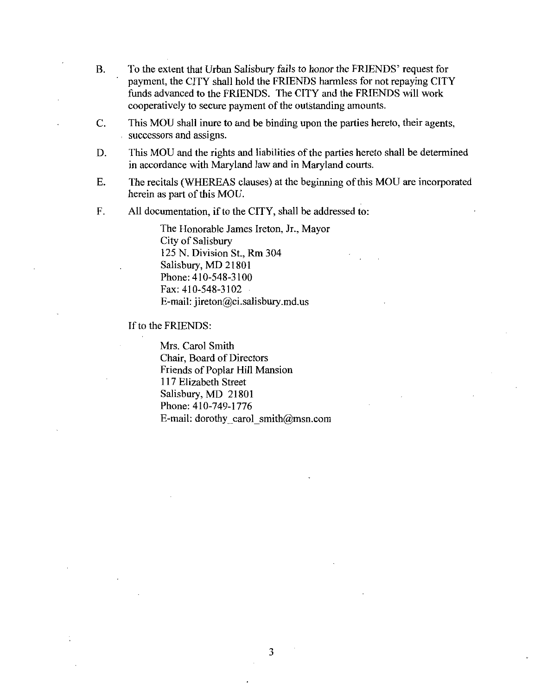- B. To the extent that Urban Salisbury fails to honor the FRIENDS' request for payment, the CITY shall hold the FRIENDS harmless for not repaying CITY funds advanced to the FRIENDS The CITY and the FRIENDS will work cooperatively to secure payment of the outstanding amounts.
- C. This MOU shall inure to and be binding upon the parties hereto, their agents, successors and assigns
- D. This MOU and the rights and liabilities of the parties hereto shall be determined in accordance with Maryland law and in Maryland courts
- E. The recitals (WHEREAS clauses) at the beginning of this MOU are incorporated herein as part of this MOU
- F. All documentation, if to the CITY, shall be addressed to:

The Honorable James Ireton, Jr., Mayor City of Salisbury 125 N. Division St., Rm 304 125 N. Division St., R<br>Salisbury, MD 21801<br>Phone: 410-548-3100<br>Free 410-548-3100 Phone:  $410-548-3100$ <br>Fax:  $410-548-3102$ <br>E-mail: jireton@ci.salisbury.md.us The Honorable James Ireton, Jr., Ma<br>City of Salisbury<br>125 N. Division St., Rm 304<br>Salisbury, MD 21801<br>Phone: 410-548-3100<br>Fax: 410-548-3102<br>E-mail: jireton@ci.salisbury.md.us<br>: FRIENDS:

If to the FRIENDS:

Mrs. Carol Smith Chair, Board of Directors Friends of Poplar Hill Mansion 117 Elizabeth Street 117 Elizabeth Street<br>Salisbury, MD 21801<br>Phone: 410-749-1776 Phone: 410-749-1776<br>E-mail: dorothy carol smith@msn.com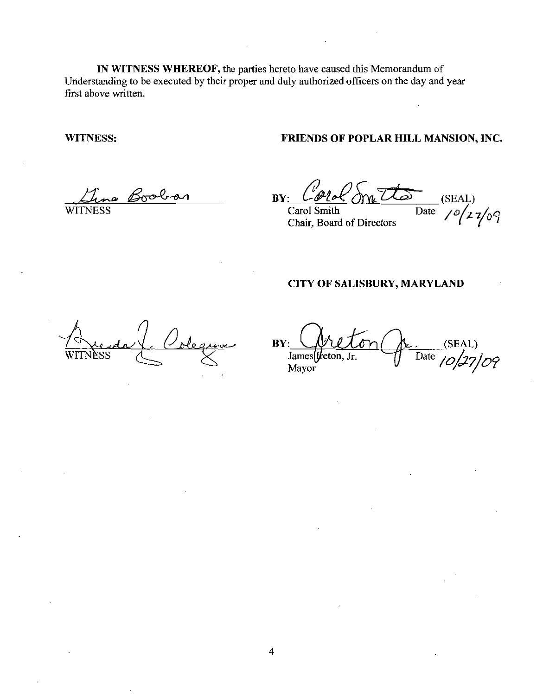IN WITNESS WHEREOF, the parties hereto have caused this Memorandum of Understanding to be executed by their proper and duly authorized officers on the day and year first above written

WITNESS

#### FRIENDS OF POPLAR HILL MANSION, INC.

a Boobar

**WITNESS** 

 $\n By: \n *Chol* of *Chol* of *Stab* (SEAL) \n *Carol Smith* \n *Date* \n *Chol* of *Stab*$ 

Carol Smith Chair Board of Directors

 $\frac{1}{\text{Date}}$  (SEAL)<br> $\frac{1}{\sqrt{2}}$   $\frac{1}{\sqrt{2}}$ 

#### CITY OF SALISBURY, MARYLAND

WITNESS

 $BY: \bigcup \mathcal{Y} \cup \mathcal{I} \circ \cap \big( \mathcal{Y} \cup \ldots \right)$  (SEAL) James [teton, Jr. Tate James Vieton Gr. (SEAL)<br>James Vieton, Jr. Date 10/27/09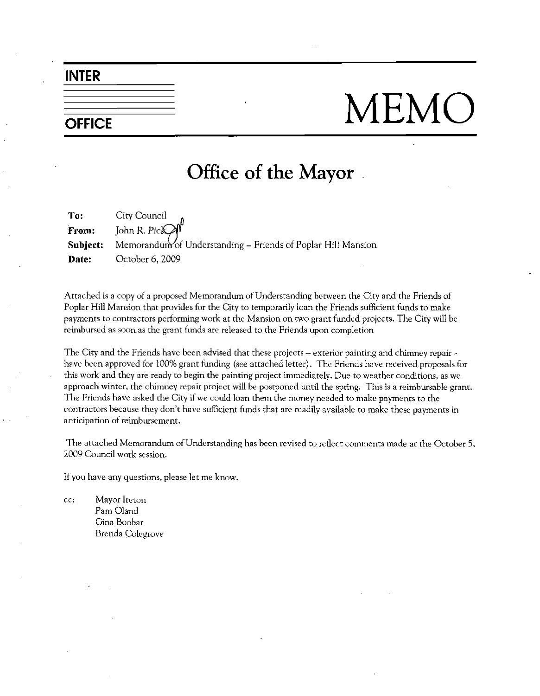INTER

# OFFICE MEMC

## Office of the Mayor

**To:** City Council<br>**From:** John R. Pick John R. Picl Subject: Memorandum of Understanding – Friends of Poplar Hill Mansion Date: October 6, 2009

Attached is a copy of a proposed Memorandum of Understanding between the City and the Friends of Poplar Hill Mansion that provides for the City to temporarily loan the Friends sufficient funds to make payments to contractors performing work at the Mansion on two grant funded projects. The City will be reimbursed as soonas the grant funds are released to the Friends upon completion

The City and the Friends have been advised that these projects - exterior painting and chimney repair have been approved for 100% grant funding (see attached letter). The Friends have received proposals for this work and they are ready to begin the painting project immediately. Due to weather conditions, as we approach winter, the chimney repair project will be postponed until the spring. This is a reimbursable grant. The Friends have asked the City if we could loan them the money needed to make payments to the<br>contractors because they don't have sufficient funds that are readily available to make these payments in payments to contractors performing work at the Mansion on two grant funded projects. The City will be reimbursed as soon as the grant funds are released to the Friends upon completion<br>The City and the Friends have been adv anticipation of reimbursement.

The attached Memorandum of Understanding has been revised to reflect comments made at the October 5, 2009 Council work session

If you have any questions, please let me know.

cc: Mayor Ireton Pam Oland Gina Boobar Brenda Colegrove